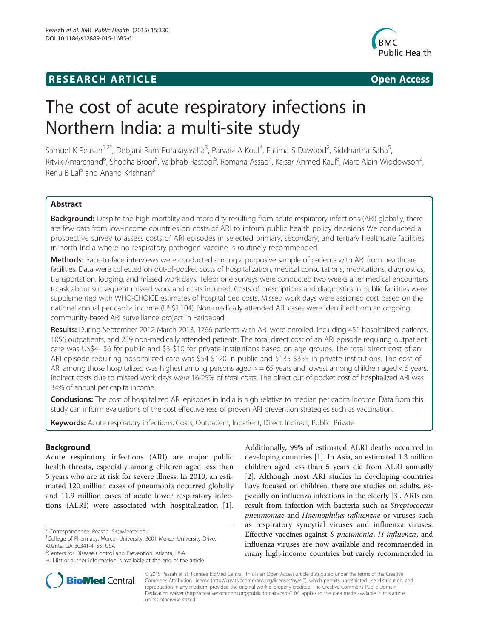## **RESEARCH ARTICLE Example 2014 CONSIDERING CONSIDERING CONSIDERING CONSIDERING CONSIDERING CONSIDERING CONSIDERING CONSIDERING CONSIDERING CONSIDERING CONSIDERING CONSIDERING CONSIDERING CONSIDERING CONSIDERING CONSIDE**



# The cost of acute respiratory infections in Northern India: a multi-site study

Samuel K Peasah<sup>1,2\*</sup>, Debjani Ram Purakayastha<sup>3</sup>, Parvaiz A Koul<sup>4</sup>, Fatima S Dawood<sup>2</sup>, Siddhartha Saha<sup>5</sup> , Ritvik Amarchand<sup>6</sup>, Shobha Broor<sup>6</sup>, Vaibhab Rastogi<sup>6</sup>, Romana Assad<sup>7</sup>, Kaisar Ahmed Kaul<sup>8</sup>, Marc-Alain Widdowson<sup>2</sup> .<br>, Renu B Lal<sup>5</sup> and Anand Krishnan<sup>3</sup>

#### Abstract

**Background:** Despite the high mortality and morbidity resulting from acute respiratory infections (ARI) globally, there are few data from low-income countries on costs of ARI to inform public health policy decisions We conducted a prospective survey to assess costs of ARI episodes in selected primary, secondary, and tertiary healthcare facilities in north India where no respiratory pathogen vaccine is routinely recommended.

Methods: Face-to-face interviews were conducted among a purposive sample of patients with ARI from healthcare facilities. Data were collected on out-of-pocket costs of hospitalization, medical consultations, medications, diagnostics, transportation, lodging, and missed work days. Telephone surveys were conducted two weeks after medical encounters to ask about subsequent missed work and costs incurred. Costs of prescriptions and diagnostics in public facilities were supplemented with WHO-CHOICE estimates of hospital bed costs. Missed work days were assigned cost based on the national annual per capita income (US\$1,104). Non-medically attended ARI cases were identified from an ongoing community-based ARI surveillance project in Faridabad.

Results: During September 2012-March 2013, 1766 patients with ARI were enrolled, including 451 hospitalized patients, 1056 outpatients, and 259 non-medically attended patients. The total direct cost of an ARI episode requiring outpatient care was US\$4- \$6 for public and \$3-\$10 for private institutions based on age groups. The total direct cost of an ARI episode requiring hospitalized care was \$54-\$120 in public and \$135-\$355 in private institutions. The cost of ARI among those hospitalized was highest among persons aged > = 65 years and lowest among children aged < 5 years. Indirect costs due to missed work days were 16-25% of total costs. The direct out-of-pocket cost of hospitalized ARI was 34% of annual per capita income.

**Conclusions:** The cost of hospitalized ARI episodes in India is high relative to median per capita income. Data from this study can inform evaluations of the cost effectiveness of proven ARI prevention strategies such as vaccination.

Keywords: Acute respiratory infections, Costs, Outpatient, Inpatient, Direct, Indirect, Public, Private

#### Background

Acute respiratory infections (ARI) are major public health threats, especially among children aged less than 5 years who are at risk for severe illness. In 2010, an estimated 120 million cases of pneumonia occurred globally and 11.9 million cases of acute lower respiratory infections (ALRI) were associated with hospitalization [\[1](#page-7-0)].

\* Correspondence: [Peasah\\_SK@Mercer.edu](mailto:Peasah_SK@Mercer.edu)

Full list of author information is available at the end of the article





© 2015 Peasah et al.; licensee BioMed Central. This is an Open Access article distributed under the terms of the Creative Commons Attribution License [\(http://creativecommons.org/licenses/by/4.0\)](http://creativecommons.org/licenses/by/4.0), which permits unrestricted use, distribution, and reproduction in any medium, provided the original work is properly credited. The Creative Commons Public Domain Dedication waiver [\(http://creativecommons.org/publicdomain/zero/1.0/](http://creativecommons.org/publicdomain/zero/1.0/)) applies to the data made available in this article, unless otherwise stated.

<sup>&</sup>lt;sup>1</sup>College of Pharmacy, Mercer University, 3001 Mercer University Drive, Atlanta, GA 30341-4155, USA

<sup>&</sup>lt;sup>2</sup> Centers for Disease Control and Prevention, Atlanta, USA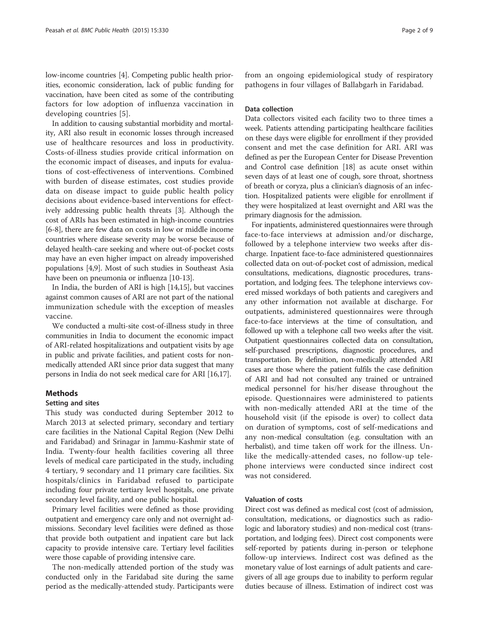low-income countries [[4](#page-7-0)]. Competing public health priorities, economic consideration, lack of public funding for vaccination, have been cited as some of the contributing factors for low adoption of influenza vaccination in developing countries [[5\]](#page-7-0).

In addition to causing substantial morbidity and mortality, ARI also result in economic losses through increased use of healthcare resources and loss in productivity. Costs-of-illness studies provide critical information on the economic impact of diseases, and inputs for evaluations of cost-effectiveness of interventions. Combined with burden of disease estimates, cost studies provide data on disease impact to guide public health policy decisions about evidence-based interventions for effectively addressing public health threats [[3\]](#page-7-0). Although the cost of ARIs has been estimated in high-income countries [[6-8\]](#page-7-0), there are few data on costs in low or middle income countries where disease severity may be worse because of delayed health-care seeking and where out-of-pocket costs may have an even higher impact on already impoverished populations [\[4,9\]](#page-7-0). Most of such studies in Southeast Asia have been on pneumonia or influenza [\[10](#page-7-0)-[13](#page-7-0)].

In India, the burden of ARI is high [[14,15\]](#page-7-0), but vaccines against common causes of ARI are not part of the national immunization schedule with the exception of measles vaccine.

We conducted a multi-site cost-of-illness study in three communities in India to document the economic impact of ARI-related hospitalizations and outpatient visits by age in public and private facilities, and patient costs for nonmedically attended ARI since prior data suggest that many persons in India do not seek medical care for ARI [\[16,17](#page-7-0)].

#### Methods

#### Setting and sites

This study was conducted during September 2012 to March 2013 at selected primary, secondary and tertiary care facilities in the National Capital Region (New Delhi and Faridabad) and Srinagar in Jammu-Kashmir state of India. Twenty-four health facilities covering all three levels of medical care participated in the study, including 4 tertiary, 9 secondary and 11 primary care facilities. Six hospitals/clinics in Faridabad refused to participate including four private tertiary level hospitals, one private secondary level facility, and one public hospital.

Primary level facilities were defined as those providing outpatient and emergency care only and not overnight admissions. Secondary level facilities were defined as those that provide both outpatient and inpatient care but lack capacity to provide intensive care. Tertiary level facilities were those capable of providing intensive care.

The non-medically attended portion of the study was conducted only in the Faridabad site during the same period as the medically-attended study. Participants were from an ongoing epidemiological study of respiratory pathogens in four villages of Ballabgarh in Faridabad.

#### Data collection

Data collectors visited each facility two to three times a week. Patients attending participating healthcare facilities on these days were eligible for enrollment if they provided consent and met the case definition for ARI. ARI was defined as per the European Center for Disease Prevention and Control case definition [\[18\]](#page-7-0) as acute onset within seven days of at least one of cough, sore throat, shortness of breath or coryza, plus a clinician's diagnosis of an infection. Hospitalized patients were eligible for enrollment if they were hospitalized at least overnight and ARI was the primary diagnosis for the admission.

For inpatients, administered questionnaires were through face-to-face interviews at admission and/or discharge, followed by a telephone interview two weeks after discharge. Inpatient face-to-face administered questionnaires collected data on out-of-pocket cost of admission, medical consultations, medications, diagnostic procedures, transportation, and lodging fees. The telephone interviews covered missed workdays of both patients and caregivers and any other information not available at discharge. For outpatients, administered questionnaires were through face-to-face interviews at the time of consultation, and followed up with a telephone call two weeks after the visit. Outpatient questionnaires collected data on consultation, self-purchased prescriptions, diagnostic procedures, and transportation. By definition, non-medically attended ARI cases are those where the patient fulfils the case definition of ARI and had not consulted any trained or untrained medical personnel for his/her disease throughout the episode. Questionnaires were administered to patients with non-medically attended ARI at the time of the household visit (if the episode is over) to collect data on duration of symptoms, cost of self-medications and any non-medical consultation (e.g. consultation with an herbalist), and time taken off work for the illness. Unlike the medically-attended cases, no follow-up telephone interviews were conducted since indirect cost was not considered.

#### Valuation of costs

Direct cost was defined as medical cost (cost of admission, consultation, medications, or diagnostics such as radiologic and laboratory studies) and non-medical cost (transportation, and lodging fees). Direct cost components were self-reported by patients during in-person or telephone follow-up interviews. Indirect cost was defined as the monetary value of lost earnings of adult patients and caregivers of all age groups due to inability to perform regular duties because of illness. Estimation of indirect cost was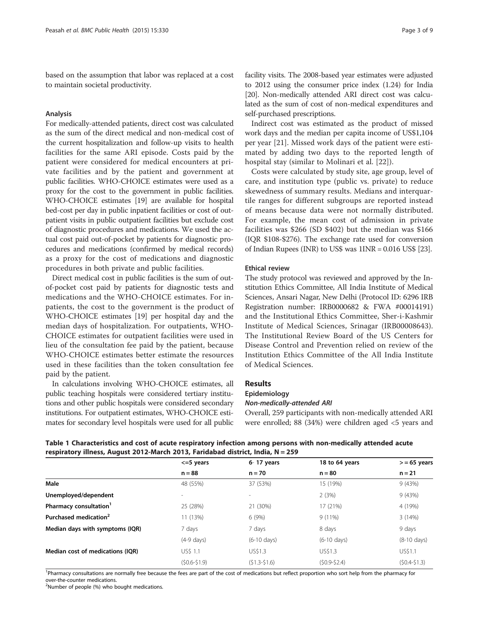<span id="page-2-0"></span>based on the assumption that labor was replaced at a cost to maintain societal productivity.

#### Analysis

For medically-attended patients, direct cost was calculated as the sum of the direct medical and non-medical cost of the current hospitalization and follow-up visits to health facilities for the same ARI episode. Costs paid by the patient were considered for medical encounters at private facilities and by the patient and government at public facilities. WHO-CHOICE estimates were used as a proxy for the cost to the government in public facilities. WHO-CHOICE estimates [[19](#page-7-0)] are available for hospital bed-cost per day in public inpatient facilities or cost of outpatient visits in public outpatient facilities but exclude cost of diagnostic procedures and medications. We used the actual cost paid out-of-pocket by patients for diagnostic procedures and medications (confirmed by medical records) as a proxy for the cost of medications and diagnostic procedures in both private and public facilities.

Direct medical cost in public facilities is the sum of outof-pocket cost paid by patients for diagnostic tests and medications and the WHO-CHOICE estimates. For inpatients, the cost to the government is the product of WHO-CHOICE estimates [[19](#page-7-0)] per hospital day and the median days of hospitalization. For outpatients, WHO-CHOICE estimates for outpatient facilities were used in lieu of the consultation fee paid by the patient, because WHO-CHOICE estimates better estimate the resources used in these facilities than the token consultation fee paid by the patient.

In calculations involving WHO-CHOICE estimates, all public teaching hospitals were considered tertiary institutions and other public hospitals were considered secondary institutions. For outpatient estimates, WHO-CHOICE estimates for secondary level hospitals were used for all public

facility visits. The 2008-based year estimates were adjusted to 2012 using the consumer price index (1.24) for India [[20](#page-7-0)]. Non-medically attended ARI direct cost was calculated as the sum of cost of non-medical expenditures and self-purchased prescriptions.

Indirect cost was estimated as the product of missed work days and the median per capita income of US\$1,104 per year [[21\]](#page-7-0). Missed work days of the patient were estimated by adding two days to the reported length of hospital stay (similar to Molinari et al. [[22\]](#page-7-0)).

Costs were calculated by study site, age group, level of care, and institution type (public vs. private) to reduce skewedness of summary results. Medians and interquartile ranges for different subgroups are reported instead of means because data were not normally distributed. For example, the mean cost of admission in private facilities was \$266 (SD \$402) but the median was \$166 (IQR \$108-\$276). The exchange rate used for conversion of Indian Rupees (INR) to US\$ was 1INR = 0.016 US\$ [[23](#page-7-0)].

#### Ethical review

The study protocol was reviewed and approved by the Institution Ethics Committee, All India Institute of Medical Sciences, Ansari Nagar, New Delhi (Protocol ID: 6296 IRB Registration number: IRB0000682 & FWA #00014191) and the Institutional Ethics Committee, Sher-i-Kashmir Institute of Medical Sciences, Srinagar (IRB00008643). The Institutional Review Board of the US Centers for Disease Control and Prevention relied on review of the Institution Ethics Committee of the All India Institute of Medical Sciences.

#### Results

#### Epidemiology

#### Non-medically-attended ARI

Overall, 259 participants with non-medically attended ARI were enrolled; 88 (34%) were children aged <5 years and

| Table 1 Characteristics and cost of acute respiratory infection among persons with non-medically attended acute |  |
|-----------------------------------------------------------------------------------------------------------------|--|
| respiratory illness, August 2012-March 2013, Faridabad district, India, N = 259                                 |  |

|                                    | $<=5$ years              | $6-17$ years          | 18 to 64 years        | $>$ = 65 years        |
|------------------------------------|--------------------------|-----------------------|-----------------------|-----------------------|
|                                    | $n = 88$                 | $n = 70$              | $n = 80$              | $n = 21$              |
| Male                               | 48 (55%)                 | 37 (53%)              | 15 (19%)              | 9(43%)                |
| Unemployed/dependent               | $\overline{\phantom{a}}$ | ۰                     | 2(3%)                 | 9(43%)                |
| Pharmacy consultation <sup>1</sup> | 25 (28%)                 | 21 (30%)              | 17 (21%)              | 4 (19%)               |
| Purchased medication <sup>2</sup>  | 11 (13%)                 | 6(9%)                 | $9(11\%)$             | 3(14%)                |
| Median days with symptoms (IQR)    | 7 days                   | 7 days                | 8 days                | 9 days                |
|                                    | $(4-9 \text{ days})$     | $(6-10 \text{ days})$ | $(6-10 \text{ days})$ | $(8-10 \text{ days})$ |
| Median cost of medications (IQR)   | US\$ 1.1                 | US\$1.3               | US\$1.3               | US\$1.1               |
|                                    | $(50.6 - 51.9)$          | $(51.3 - 51.6)$       | $(50.9 - 52.4)$       | $(50.4 - 51.3)$       |

<sup>1</sup>Pharmacy consultations are normally free because the fees are part of the cost of medications but reflect proportion who sort help from the pharmacy for over-the-counter medications.

 $2$ Number of people (%) who bought medications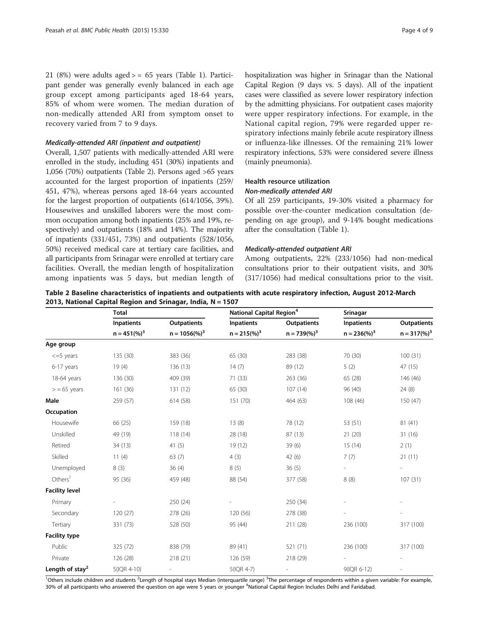21 (8%) were adults aged  $>$  = 65 years (Table [1](#page-2-0)). Participant gender was generally evenly balanced in each age group except among participants aged 18-64 years, 85% of whom were women. The median duration of non-medically attended ARI from symptom onset to recovery varied from 7 to 9 days.

#### Medically-attended ARI (inpatient and outpatient)

Overall, 1,507 patients with medically-attended ARI were enrolled in the study, including 451 (30%) inpatients and 1,056 (70%) outpatients (Table 2). Persons aged >65 years accounted for the largest proportion of inpatients (259/ 451, 47%), whereas persons aged 18-64 years accounted for the largest proportion of outpatients (614/1056, 39%). Housewives and unskilled laborers were the most common occupation among both inpatients (25% and 19%, respectively) and outpatients (18% and 14%). The majority of inpatients (331/451, 73%) and outpatients (528/1056, 50%) received medical care at tertiary care facilities, and all participants from Srinagar were enrolled at tertiary care facilities. Overall, the median length of hospitalization among inpatients was 5 days, but median length of

hospitalization was higher in Srinagar than the National Capital Region (9 days vs. 5 days). All of the inpatient cases were classified as severe lower respiratory infection by the admitting physicians. For outpatient cases majority were upper respiratory infections. For example, in the National capital region, 79% were regarded upper respiratory infections mainly febrile acute respiratory illness or influenza-like illnesses. Of the remaining 21% lower respiratory infections, 53% were considered severe illness (mainly pneumonia).

#### Health resource utilization Non-medically attended ARI

Of all 259 participants, 19-30% visited a pharmacy for possible over-the-counter medication consultation (depending on age group), and 9-14% bought medications after the consultation (Table [1\)](#page-2-0).

#### Medically-attended outpatient ARI

Among outpatients, 22% (233/1056) had non-medical consultations prior to their outpatient visits, and 30% (317/1056) had medical consultations prior to the visit.

| Table 2 Baseline characteristics of inpatients and outpatients with acute respiratory infection, August 2012-March |  |
|--------------------------------------------------------------------------------------------------------------------|--|
| 2013, National Capital Region and Srinagar, India, N = 1507                                                        |  |

|                             | <b>Total</b>               |                             | National Capital Region <sup>4</sup> |                       | <b>Srinagar</b>        |                           |  |
|-----------------------------|----------------------------|-----------------------------|--------------------------------------|-----------------------|------------------------|---------------------------|--|
|                             | <b>Inpatients</b>          | <b>Outpatients</b>          | <b>Inpatients</b>                    | <b>Outpatients</b>    | <b>Inpatients</b>      | <b>Outpatients</b>        |  |
|                             | $n = 451$ (%) <sup>3</sup> | $n = 1056$ (%) <sup>3</sup> | $n = 215\frac{(\%)^3}{ }$            | $n = 739\degree(6)^3$ | $n = 236\degree(\%)^3$ | $n = 317\frac{(\%)^3}{n}$ |  |
| Age group                   |                            |                             |                                      |                       |                        |                           |  |
| $<=5$ years                 | 135 (30)                   | 383 (36)                    | 65 (30)                              | 283 (38)              | 70 (30)                | 100(31)                   |  |
| 6-17 years                  | 19(4)                      | 136 (13)                    | 14(7)                                | 89 (12)               | 5(2)                   | 47 (15)                   |  |
| 18-64 years                 | 136 (30)                   | 409 (39)                    | 71 (33)                              | 263 (36)              | 65 (28)                | 146 (46)                  |  |
| $>$ = 65 years              | 161 (36)                   | 131 (12)                    | 65 (30)                              | 107(14)               | 96 (40)                | 24(8)                     |  |
| Male                        | 259 (57)                   | 614 (58)                    | 151 (70)                             | 464 (63)              | 108 (46)               | 150 (47)                  |  |
| Occupation                  |                            |                             |                                      |                       |                        |                           |  |
| Housewife                   | 66 (25)                    | 159 (18)                    | 13(8)                                | 78 (12)               | 53 (51)                | 81(41)                    |  |
| Unskilled                   | 49 (19)                    | 118(14)                     | 28 (18)                              | 87(13)                | 21(20)                 | 31(16)                    |  |
| Retired                     | 34 (13)                    | 41 (5)                      | 19 (12)                              | 39(6)                 | 15(14)                 | 2(1)                      |  |
| Skilled                     | 11(4)                      | 63 (7)                      | 4(3)                                 | 42(6)                 | 7(7)                   | 21(11)                    |  |
| Unemployed                  | 8(3)                       | 36(4)                       | 8(5)                                 | 36(5)                 |                        |                           |  |
| Others $1$                  | 95 (36)                    | 459 (48)                    | 88 (54)                              | 377 (58)              | 8(8)                   | 107(31)                   |  |
| <b>Facility level</b>       |                            |                             |                                      |                       |                        |                           |  |
| Primary                     |                            | 250 (24)                    |                                      | 250 (34)              |                        |                           |  |
| Secondary                   | 120 (27)                   | 278 (26)                    | 120 (56)                             | 278 (38)              |                        |                           |  |
| Tertiary                    | 331 (73)                   | 528 (50)                    | 95 (44)                              | 211 (28)              | 236 (100)              | 317 (100)                 |  |
| <b>Facility type</b>        |                            |                             |                                      |                       |                        |                           |  |
| Public                      | 325 (72)                   | 838 (79)                    | 89 (41)                              | 521 (71)              | 236 (100)              | 317 (100)                 |  |
| Private                     | 126 (28)                   | 218 (21)                    | 126 (59)                             | 218 (29)              |                        |                           |  |
| Length of stay <sup>2</sup> | 5(IQR 4-10)                | $\overline{\phantom{0}}$    | 5(IQR 4-7)                           | L,                    | 9(IQR 6-12)            |                           |  |

<sup>1</sup>Others include children and students <sup>2</sup>Length of hospital stays Median (interquartile range) <sup>3</sup>The percentage of respondents within a given variable: For example, 30% of all participants who answered the question on age were 5 years or younger <sup>4</sup>National Capital Region Includes Delhi and Faridabad.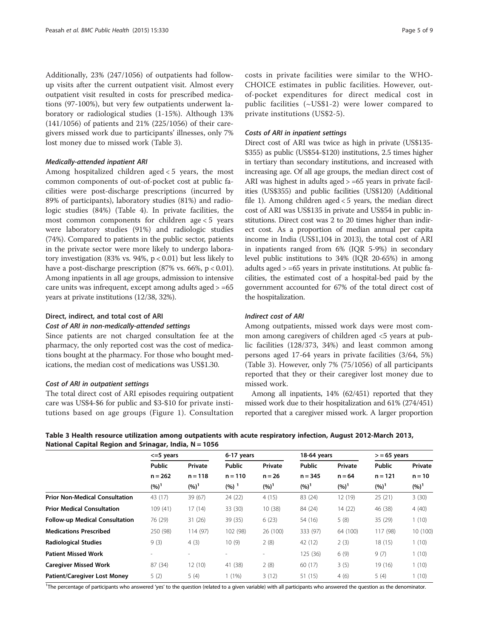Additionally, 23% (247/1056) of outpatients had followup visits after the current outpatient visit. Almost every outpatient visit resulted in costs for prescribed medications (97-100%), but very few outpatients underwent laboratory or radiological studies (1-15%). Although 13% (141/1056) of patients and 21% (225/1056) of their caregivers missed work due to participants' illnesses, only 7% lost money due to missed work (Table 3).

#### Medically-attended inpatient ARI

Among hospitalized children aged < 5 years, the most common components of out-of-pocket cost at public facilities were post-discharge prescriptions (incurred by 89% of participants), laboratory studies (81%) and radiologic studies (84%) (Table [4\)](#page-5-0). In private facilities, the most common components for children age < 5 years were laboratory studies (91%) and radiologic studies (74%). Compared to patients in the public sector, patients in the private sector were more likely to undergo laboratory investigation (83% vs. 94%,  $p < 0.01$ ) but less likely to have a post-discharge prescription  $(87\% \text{ vs. } 66\%, \text{ p} < 0.01)$ . Among inpatients in all age groups, admission to intensive care units was infrequent, except among adults aged > =65 years at private institutions (12/38, 32%).

### Direct, indirect, and total cost of ARI

#### Cost of ARI in non-medically-attended settings

Since patients are not charged consultation fee at the pharmacy, the only reported cost was the cost of medications bought at the pharmacy. For those who bought medications, the median cost of medications was US\$1.30.

#### Cost of ARI in outpatient settings

The total direct cost of ARI episodes requiring outpatient care was US\$4-\$6 for public and \$3-\$10 for private institutions based on age groups (Figure [1\)](#page-5-0). Consultation

costs in private facilities were similar to the WHO-CHOICE estimates in public facilities. However, outof-pocket expenditures for direct medical cost in public facilities (~US\$1-2) were lower compared to private institutions (US\$2-5).

#### Costs of ARI in inpatient settings

Direct cost of ARI was twice as high in private (US\$135- \$355) as public (US\$54-\$120) institutions, 2.5 times higher in tertiary than secondary institutions, and increased with increasing age. Of all age groups, the median direct cost of ARI was highest in adults aged > =65 years in private facilities (US\$355) and public facilities (US\$120) (Additional file [1](#page-7-0)). Among children aged < 5 years, the median direct cost of ARI was US\$135 in private and US\$54 in public institutions. Direct cost was 2 to 20 times higher than indirect cost. As a proportion of median annual per capita income in India (US\$1,104 in 2013), the total cost of ARI in inpatients ranged from 6% (IQR 5-9%) in secondary level public institutions to 34% (IQR 20-65%) in among adults aged > =65 years in private institutions. At public facilities, the estimated cost of a hospital-bed paid by the government accounted for 67% of the total direct cost of the hospitalization.

#### Indirect cost of ARI

Among outpatients, missed work days were most common among caregivers of children aged <5 years at public facilities (128/373, 34%) and least common among persons aged 17-64 years in private facilities (3/64, 5%) (Table 3). However, only 7% (75/1056) of all participants reported that they or their caregiver lost money due to missed work.

Among all inpatients, 14% (62/451) reported that they missed work due to their hospitalization and 61% (274/451) reported that a caregiver missed work. A larger proportion

Table 3 Health resource utilization among outpatients with acute respiratory infection, August 2012-March 2013, National Capital Region and Srinagar, India, N = 1056

|                                       | $<=5$ years |           | 6-17 years    |          | 18-64 years   |          | $>$ = 65 years |          |
|---------------------------------------|-------------|-----------|---------------|----------|---------------|----------|----------------|----------|
|                                       | Public      | Private   | <b>Public</b> | Private  | <b>Public</b> | Private  | <b>Public</b>  | Private  |
|                                       | $n = 262$   | $n = 118$ | $n = 110$     | $n = 26$ | $n = 345$     | $n = 64$ | $n = 121$      | $n = 10$ |
|                                       | $(%)^1$     | $(%)^1$   | $(%)^1$       | $(%)^1$  | $(%)^1$       | $(%)^1$  | $(%)^1$        | $(%)^1$  |
| <b>Prior Non-Medical Consultation</b> | 43 (17)     | 39 (67)   | 24 (22)       | 4(15)    | 83 (24)       | 12 (19)  | 25(21)         | 3(30)    |
| <b>Prior Medical Consultation</b>     | 109(41)     | 17(14)    | 33 (30)       | 10(38)   | 84 (24)       | 14 (22)  | 46 (38)        | 4(40)    |
| <b>Follow-up Medical Consultation</b> | 76 (29)     | 31(26)    | 39 (35)       | 6(23)    | 54 (16)       | 5(8)     | 35 (29)        | 1(10)    |
| <b>Medications Prescribed</b>         | 250 (98)    | 114 (97)  | 102 (98)      | 26 (100) | 333 (97)      | 64 (100) | 117 (98)       | 10 (100) |
| <b>Radiological Studies</b>           | 9(3)        | 4(3)      | 10(9)         | 2(8)     | 42 (12)       | 2(3)     | 18 (15)        | 1(10)    |
| <b>Patient Missed Work</b>            | ۰           |           |               | ۰        | 125 (36)      | 6(9)     | 9(7)           | 1(10)    |
| <b>Caregiver Missed Work</b>          | 87 (34)     | 12(10)    | 41 (38)       | 2(8)     | 60 (17)       | 3(5)     | 19 (16)        | 1(10)    |
| <b>Patient/Caregiver Lost Money</b>   | 5(2)        | 5(4)      | $1(1\%)$      | 3(12)    | 51 (15)       | 4(6)     | 5(4)           | 1(10)    |

<sup>1</sup>The percentage of participants who answered 'yes' to the question (related to a given variable) with all participants who answered the question as the denominator.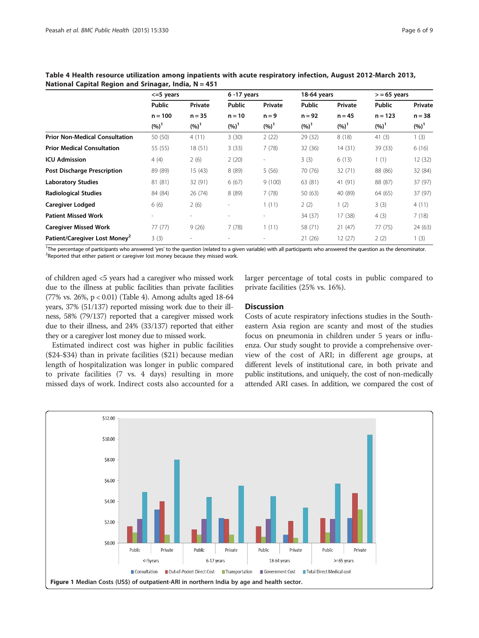|                                           | $<=5$ years                                    |                                         | $6 - 17$ years                         |                               | 18-64 years                          |                                         | $>$ = 65 years                 |                                |
|-------------------------------------------|------------------------------------------------|-----------------------------------------|----------------------------------------|-------------------------------|--------------------------------------|-----------------------------------------|--------------------------------|--------------------------------|
|                                           | <b>Public</b><br>$n = 100$<br>(%) <sup>1</sup> | Private<br>$n = 35$<br>(%) <sup>1</sup> | Public<br>$n = 10$<br>(%) <sup>1</sup> | Private<br>$n = 9$<br>$(%)^1$ | <b>Public</b><br>$n = 92$<br>$(%)^1$ | Private<br>$n = 45$<br>(%) <sup>1</sup> | Public<br>$n = 123$<br>$(%)^1$ | Private<br>$n = 38$<br>$(%)^1$ |
|                                           |                                                |                                         |                                        |                               |                                      |                                         |                                |                                |
|                                           |                                                |                                         |                                        |                               |                                      |                                         |                                |                                |
| <b>Prior Non-Medical Consultation</b>     | 50 (50)                                        | 4(11)                                   | 3(30)                                  | 2(22)                         | 29 (32)                              | 8(18)                                   | 41 $(3)$                       | 1(3)                           |
| <b>Prior Medical Consultation</b>         | 55 (55)                                        | 18(51)                                  | 3(33)                                  | 7(78)                         | 32 (36)                              | 14(31)                                  | 39 (33)                        | 6(16)                          |
| <b>ICU Admission</b>                      | 4(4)                                           | 2(6)                                    | 2(20)                                  | $\qquad \qquad$               | 3(3)                                 | 6(13)                                   | 1(1)                           | 12(32)                         |
| <b>Post Discharge Prescription</b>        | 89 (89)                                        | 15(43)                                  | 8 (89)                                 | 5(56)                         | 70 (76)                              | 32(71)                                  | 88 (86)                        | 32 (84)                        |
| <b>Laboratory Studies</b>                 | 81 (81)                                        | 32 (91)                                 | 6(67)                                  | 9(100)                        | 63 (81)                              | 41 (91)                                 | 88 (87)                        | 37(97)                         |
| <b>Radiological Studies</b>               | 84 (84)                                        | 26(74)                                  | 8 (89)                                 | 7(78)                         | 50 (63)                              | 40 (89)                                 | 64 (65)                        | 37 (97)                        |
| <b>Caregiver Lodged</b>                   | 6(6)                                           | 2(6)                                    |                                        | 1(11)                         | 2(2)                                 | 1(2)                                    | 3(3)                           | 4(11)                          |
| <b>Patient Missed Work</b>                | $\overline{\phantom{a}}$                       |                                         | $\overline{\phantom{a}}$               | $\overline{\phantom{a}}$      | 34 (37)                              | 17(38)                                  | 4(3)                           | 7(18)                          |
| <b>Caregiver Missed Work</b>              | 77(77)                                         | 9(26)                                   | 7(78)                                  | 1(11)                         | 58 (71)                              | 21(47)                                  | 77 (75)                        | 24 (63)                        |
| Patient/Caregiver Lost Money <sup>2</sup> | 3(3)                                           |                                         |                                        | ٠                             | 21(26)                               | 12(27)                                  | 2(2)                           | 1(3)                           |

<span id="page-5-0"></span>Table 4 Health resource utilization among inpatients with acute respiratory infection, August 2012-March 2013, National Capital Region and Srinagar, India, N = 451

<sup>1</sup>The percentage of participants who answered 'yes' to the question (related to a given variable) with all participants who answered the question as the denominator. <sup>2</sup>Reported that either patient or caregiver lost money because they missed work.

of children aged <5 years had a caregiver who missed work due to the illness at public facilities than private facilities (77% vs. 26%, p < 0.01) (Table 4). Among adults aged 18-64 years, 37% (51/137) reported missing work due to their illness, 58% (79/137) reported that a caregiver missed work due to their illness, and 24% (33/137) reported that either they or a caregiver lost money due to missed work.

Estimated indirect cost was higher in public facilities (\$24-\$34) than in private facilities (\$21) because median length of hospitalization was longer in public compared to private facilities (7 vs. 4 days) resulting in more missed days of work. Indirect costs also accounted for a larger percentage of total costs in public compared to private facilities (25% vs. 16%).

#### **Discussion**

Costs of acute respiratory infections studies in the Southeastern Asia region are scanty and most of the studies focus on pneumonia in children under 5 years or influenza. Our study sought to provide a comprehensive overview of the cost of ARI; in different age groups, at different levels of institutional care, in both private and public institutions, and uniquely, the cost of non-medically attended ARI cases. In addition, we compared the cost of

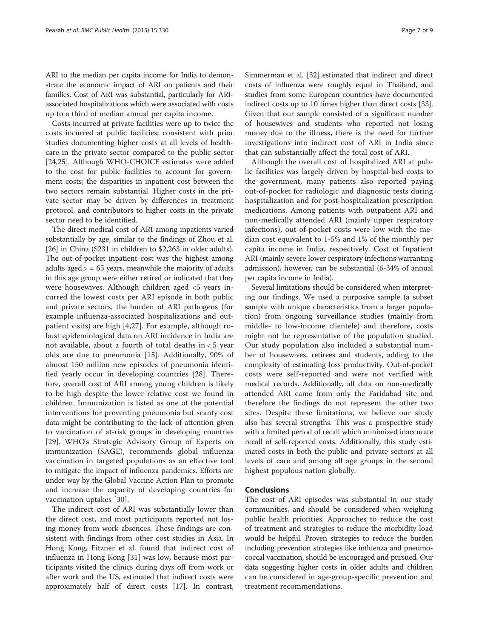ARI to the median per capita income for India to demonstrate the economic impact of ARI on patients and their families. Cost of ARI was substantial, particularly for ARIassociated hospitalizations which were associated with costs up to a third of median annual per capita income.

Costs incurred at private facilities were up to twice the costs incurred at public facilities; consistent with prior studies documenting higher costs at all levels of healthcare in the private sector compared to the public sector [[24,25\]](#page-7-0). Although WHO-CHOICE estimates were added to the cost for public facilities to account for government costs; the disparities in inpatient cost between the two sectors remain substantial. Higher costs in the private sector may be driven by differences in treatment protocol, and contributors to higher costs in the private sector need to be identified.

The direct medical cost of ARI among inpatients varied substantially by age, similar to the findings of Zhou et al. [[26](#page-7-0)] in China (\$231 in children to \$2,263 in older adults). The out-of-pocket inpatient cost was the highest among adults aged  $>$  = 65 years, meanwhile the majority of adults in this age group were either retired or indicated that they were housewives. Although children aged <5 years incurred the lowest costs per ARI episode in both public and private sectors, the burden of ARI pathogens (for example influenza-associated hospitalizations and outpatient visits) are high [[4,27](#page-7-0)]. For example, although robust epidemiological data on ARI incidence in India are not available, about a fourth of total deaths in < 5 year olds are due to pneumonia [[15](#page-7-0)]. Additionally, 90% of almost 150 million new episodes of pneumonia identified yearly occur in developing countries [\[28](#page-7-0)]. Therefore, overall cost of ARI among young children is likely to be high despite the lower relative cost we found in children. Immunization is listed as one of the potential interventions for preventing pneumonia but scanty cost data might be contributing to the lack of attention given to vaccination of at-risk groups in developing countries [[29\]](#page-7-0). WHO's Strategic Advisory Group of Experts on immunization (SAGE), recommends global influenza vaccination in targeted populations as an effective tool to mitigate the impact of influenza pandemics. Efforts are under way by the Global Vaccine Action Plan to promote and increase the capacity of developing countries for vaccination uptakes [[30\]](#page-7-0).

The indirect cost of ARI was substantially lower than the direct cost, and most participants reported not losing money from work absences. These findings are consistent with findings from other cost studies in Asia. In Hong Kong, Fitzner et al. found that indirect cost of influenza in Hong Kong [[31](#page-8-0)] was low, because most participants visited the clinics during days off from work or after work and the US, estimated that indirect costs were approximately half of direct costs [\[17\]](#page-7-0). In contrast, Simmerman et al. [\[32](#page-8-0)] estimated that indirect and direct costs of influenza were roughly equal in Thailand, and studies from some European countries have documented indirect costs up to 10 times higher than direct costs [[33](#page-8-0)]. Given that our sample consisted of a significant number of housewives and students who reported not losing money due to the illness, there is the need for further investigations into indirect cost of ARI in India since that can substantially affect the total cost of ARI.

Although the overall cost of hospitalized ARI at public facilities was largely driven by hospital-bed costs to the government, many patients also reported paying out-of-pocket for radiologic and diagnostic tests during hospitalization and for post-hospitalization prescription medications. Among patients with outpatient ARI and non-medically attended ARI (mainly upper respiratory infections), out-of-pocket costs were low with the median cost equivalent to 1-5% and 1% of the monthly per capita income in India, respectively. Cost of Inpatient ARI (mainly severe lower respiratory infections warranting admission), however, can be substantial (6-34% of annual per capita income in India).

Several limitations should be considered when interpreting our findings. We used a purposive sample (a subset sample with unique characteristics from a larger population) from ongoing surveillance studies (mainly from middle- to low-income clientele) and therefore, costs might not be representative of the population studied. Our study population also included a substantial number of housewives, retirees and students, adding to the complexity of estimating loss productivity. Out-of-pocket costs were self-reported and were not verified with medical records. Additionally, all data on non-medically attended ARI came from only the Faridabad site and therefore the findings do not represent the other two sites. Despite these limitations, we believe our study also has several strengths. This was a prospective study with a limited period of recall which minimized inaccurate recall of self-reported costs. Additionally, this study estimated costs in both the public and private sectors at all levels of care and among all age groups in the second highest populous nation globally.

#### Conclusions

The cost of ARI episodes was substantial in our study communities, and should be considered when weighing public health priorities. Approaches to reduce the cost of treatment and strategies to reduce the morbidity load would be helpful. Proven strategies to reduce the burden including prevention strategies like influenza and pneumococcal vaccination, should be encouraged and pursued. Our data suggesting higher costs in older adults and children can be considered in age-group-specific prevention and treatment recommendations.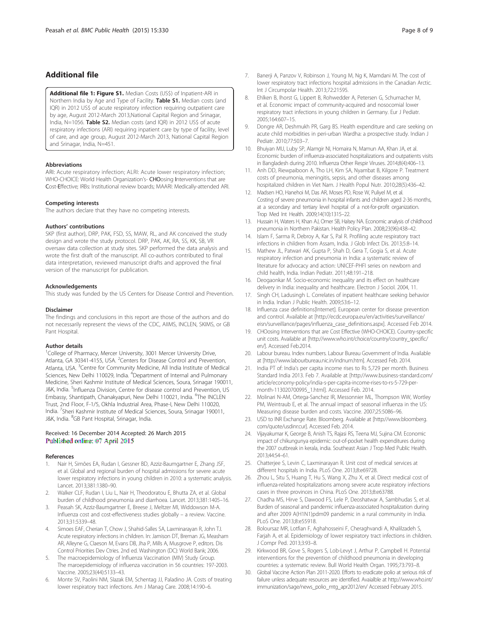#### <span id="page-7-0"></span>Additional file

[Additional file 1: Figure S1.](http://www.biomedcentral.com/content/supplementary/s12889-015-1685-6-s1.docx) Median Costs (US\$) of Inpatient-ARI in Northern India by Age and Type of Facility. Table S1. Median costs (and IQR) in 2012 US\$ of acute respiratory infection requiring outpatient care by age, August 2012-March 2013,National Capital Region and Srinagar, India, N=1056. Table S2. Median costs (and IQR) in 2012 US\$ of acute respiratory infections (ARI) requiring inpatient care by type of facility, level of care, and age group, August 2012-March 2013, National Capital Region and Srinagar, India, N=451.

#### Abbreviations

ARI: Acute respiratory infection; ALRI: Acute lower respiratory infection; WHO-CHOICE: World Health Organization's- CHOosing Interventions that are Cost-Effective; IRBs: Institutional review boards; MAARI: Medically-attended ARI.

#### Competing interests

The authors declare that they have no competing interests.

#### Authors' contributions

SKP (first author), DRP, PAK, FSD, SS, MAW, RL, and AK conceived the study design and wrote the study protocol. DRP, PAK, AK, RA, SS, KK, SB, VR oversaw data collection at study sites. SKP performed the data analysis and wrote the first draft of the manuscript. All co-authors contributed to final data interpretation, reviewed manuscript drafts and approved the final version of the manuscript for publication.

#### Acknowledgements

This study was funded by the US Centers for Disease Control and Prevention.

#### Disclaimer

The findings and conclusions in this report are those of the authors and do not necessarily represent the views of the CDC, AIIMS, INCLEN, SKIMS, or GB Pant Hospital.

#### Author details

<sup>1</sup>College of Pharmacy, Mercer University, 3001 Mercer University Drive, Atlanta, GA 30341-4155, USA. <sup>2</sup>Centers for Disease Control and Prevention, Atlanta, USA.<sup>3</sup> Centre for Community Medicine, All India Institute of Medical Sciences, New Delhi 110029, India. <sup>4</sup>Department of Internal and Pulmonary Medicine, Sheri Kashmir Institute of Medical Sciences, Soura, Srinagar 190011, J&K, India. <sup>5</sup>Influenza Division, Centre for disease control and Prevention, US Embassy, Shantipath, Chanakyapuri, New Delhi 110021, India. <sup>6</sup>The INCLEN Trust, 2nd Floor, F-1/5, Okhla Industrial Area, Phase-I, New Delhi 110020, India. <sup>7</sup>Sheri Kashmir Institute of Medical Sciences, Soura, Srinagar 190011, J&K, India. <sup>8</sup>GB Pant Hospital, Srinagar, India.

# Received: 16 December 2014 Accepted: 26 March 2015<br>Published online: 07 April 2015

#### References

- 1. Nair H, Simões EA, Rudan I, Gessner BD, Azziz-Baumgartner E, Zhang JSF, et al. Global and regional burden of hospital admissions for severe acute lower respiratory infections in young children in 2010: a systematic analysis. Lancet. 2013;381:1380–90.
- 2. Walker CLF, Rudan I, Liu L, Nair H, Theodoratou E, Bhutta ZA, et al. Global burden of childhood pneumonia and diarrhoea. Lancet. 2013;381:1405–16.
- 3. Peasah SK, Azziz-Baumgartner E, Breese J, Meltzer MI, Widdowson M-A. Influenza cost and cost-effectiveness studies globally – a review. Vaccine. 2013;31:5339–48.
- 4. Simoes EAF, Cherian T, Chow J, Shahid-Salles SA, Laxminarayan R, John TJ. Acute respiratory infections in children. In: Jamison DT, Breman JG, Measham AR, Alleyne G, Claeson M, Evans DB, Jha P, Mills A, Musgrove P, editors. Dis Control Priorities Dev Ctries. 2nd ed. Washington (DC): World Bank; 2006.
- 5. The macroepidemiology of Influenza Vaccination (MIV) Study Group. The maroepidemiology of influenza vaccination in 56 countries: 197-2003. Vaccine. 2005;23(44):5133–43.
- 6. Monte SV, Paolini NM, Slazak EM, Schentag JJ, Paladino JA. Costs of treating lower respiratory tract infections. Am J Manag Care. 2008;14:190–6.
- 7. Banerji A, Panzov V, Robinson J, Young M, Ng K, Mamdani M. The cost of lower respiratory tract infections hospital admissions in the Canadian Arctic. Int J Circumpolar Health. 2013;72:21595.
- 8. Ehlken B, Ihorst G, Lippert B, Rohwedder A, Petersen G, Schumacher M, et al. Economic impact of community-acquired and nosocomial lower respiratory tract infections in young children in Germany. Eur J Pediatr. 2005;164:607–15.
- 9. Dongre AR, Deshmukh PR, Garg BS. Health expenditure and care seeking on acute child morbidities in peri-urban Wardha: a prospective study. Indian J Pediatr. 2010;77:503–7.
- 10. Bhuiyan MU, Luby SP, Alamgir NI, Homaira N, Mamun AA, Khan JA, et al. Economic burden of influenza-associated hospitalizations and outpatients visits in Bangladesh during 2010. Influenza Other Respir Viruses. 2014;8(4):406–13.
- 11. Anh DD, Riewpaiboon A, Tho LH, Kim SA, Nyambat B, Kilgore P. Treatment costs of pneumonia, meningitis, sepsis, and other diseases among hospitalized children in Viet Nam. J Health Popul Nutr. 2010;28(5):436–42.
- 12. Madsen HO, Hanehoi M, Das AR, Moses PD, Rose W, Puliyel M, et al. Costing of severe pneumonia in hospital infants and children aged 2-36 months, at a secondary and tertiary level hospital of a not-for-profit organization. Trop Med Int Health. 2009;14(10):1315–22.
- 13. Hussain H, Waters H, Khan AJ, Omer SB, Halsey NA. Economic analysis of childhood pneumonia in Northern Pakistan. Health Policy Plan. 2008;23(96):438–42.
- 14. Islam F, Sarma R, Debroy A, Kar S, Pal R. Profiling acute respiratory tract infections in children from Assam, India. J Glob Infect Dis. 2013;5:8–14.
- 15. Mathew JL, Patwari AK, Gupta P, Shah D, Gera T, Gogia S, et al. Acute respiratory infection and pneumonia in India: a systematic review of literature for advocacy and action: UNICEF-PHFI series on newborn and child health, India. Indian Pediatr. 2011;48:191–218.
- 16. Deogaonkar M. Socio-economic inequality and its effect on healthcare delivery in India: inequality and healthcare. Electron J Sociol. 2004, 11.
- 17. Singh CH, Ladusingh L. Correlates of inpatient healthcare seeking behavior in India. Indian J Public Health. 2009;53:6–12.
- 18. Influenza case definitions[Internet]. European center for disease prevention and control. Available at [\[http://ecdc.europa.eu/en/activities/surveillance/](http://ecdc.europa.eu/en/activities/surveillance/eisn/surveillance/pages/influenza_case_definitions.aspx) [eisn/surveillance/pages/influenza\\_case\\_definitions.aspx\]](http://ecdc.europa.eu/en/activities/surveillance/eisn/surveillance/pages/influenza_case_definitions.aspx). Accessed Feb 2014.
- 19. CHOosing Interventions that are Cost Effective (WHO-CHOICE). Country-specific unit costs. Available at [[http://www.who.int/choice/country/country\\_specific/](http://www.who.int/choice/country/country_specific/en/) [en/](http://www.who.int/choice/country/country_specific/en/)]. Accessed Feb.2014.
- 20. Labour bureau. Index numbers. Labour Bureau Government of India. Available at [<http://www.labourbureau.nic.in/indnum.htm>]. Accessed Feb. 2014.
- 21. India PT of: India's per capita income rises to Rs 5,729 per month. Business Standard India 2013. Feb 7. Available at [\[http://www.business-standard.com/](http://www.business-standard.com/article/economy-policy/india-s-per-capita-income-rises-to-rs-5-729-per-month-113020700995_1.html) [article/economy-policy/india-s-per-capita-income-rises-to-rs-5-729-per](http://www.business-standard.com/article/economy-policy/india-s-per-capita-income-rises-to-rs-5-729-per-month-113020700995_1.html)[month-113020700995\\_1.html](http://www.business-standard.com/article/economy-policy/india-s-per-capita-income-rises-to-rs-5-729-per-month-113020700995_1.html)]. Accessed Feb. 2014.
- 22. Molinari N-AM, Ortega-Sanchez IR, Messonnier ML, Thompson WW, Wortley PM, Weintraub E, et al. The annual impact of seasonal influenza in the US: Measuring disease burden and costs. Vaccine. 2007;25:5086–96.
- 23. USD to INR Exchange Rate. Bloomberg. Available at [\[http://www.bloomberg.](http://www.bloomberg.com/quote/usdinr:cur) [com/quote/usdinr:cur](http://www.bloomberg.com/quote/usdinr:cur)]. Accessed Feb. 2014.
- 24. Vijayakumar K, George B, Anish TS, Rajasi RS, Teena MJ, Sujina CM. Economic impact of chikungunya epidemic: out-of-pocket health expenditures during the 2007 outbreak in kerala, india. Southeast Asian J Trop Med Public Health. 2013;44:54–61.
- 25. Chatterjee S, Levin C, Laxminarayan R. Unit cost of medical services at different hospitals in India. PLoS One. 2013;8:e69728.
- 26. Zhou L, Situ S, Huang T, Hu S, Wang X, Zhu X, et al. Direct medical cost of influenza-related hospitalizations among severe acute respiratory infections cases in three provinces in China. PLoS One. 2013;8:e63788.
- 27. Chadha MS, Hirve S, Dawood FS, Lele P, Deoshatwar A, Sambhudas S, et al. Burden of seasonal and pandemic influenza-associated hospitalization during and after 2009 A(H1N1)pdm09 pandemic in a rural community in India. PLoS One. 2013;8:e55918.
- 28. Boloursaz MR, Lotfian F, Aghahosseini F, Cheraghvandi A, Khalilzadeh S, Farjah A, et al. Epidemiology of lower respiratory tract infections in children. J Compr Ped. 2013;3:93–8.
- 29. Kirkwood BR, Gove S, Rogers S, Lob-Levyt J, Arthur P, Campbell H. Potential interventions for the prevention of childhood pneumonia in developing countries: a systematic review. Bull World Health Organ. 1995;73:793–8.
- 30. Global Vaccine Action Plan 2011-2020. Efforts to eradicate polio at serious risk of failure unless adequate resources are identified. Avaialble at [http://www.who.int/](http://www.who.int/immunization/sage/news_polio_mtg_apr2012/en/) [immunization/sage/news\\_polio\\_mtg\\_apr2012/en/](http://www.who.int/immunization/sage/news_polio_mtg_apr2012/en/) Accessed February 2015.